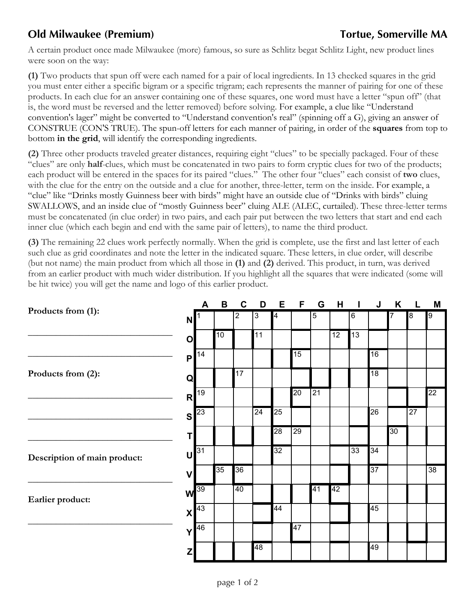## **Old Milwaukee (Premium) Tortue, Somerville MA**

A certain product once made Milwaukee (more) famous, so sure as Schlitz begat Schlitz Light, new product lines were soon on the way:

**(1)** Two products that spun off were each named for a pair of local ingredients. In 13 checked squares in the grid you must enter either a specific bigram or a specific trigram; each represents the manner of pairing for one of these products. In each clue for an answer containing one of these squares, one word must have a letter "spun off" (that is, the word must be reversed and the letter removed) before solving. For example, a clue like "Understand convention's lager" might be converted to "Understand convention's real" (spinning off a G), giving an answer of CONSTRUE (CON'S TRUE). The spun-off letters for each manner of pairing, in order of the **squares** from top to bottom **in the grid**, will identify the corresponding ingredients.

**(2)** Three other products traveled greater distances, requiring eight "clues" to be specially packaged. Four of these "clues" are only **half**-clues, which must be concatenated in two pairs to form cryptic clues for two of the products; each product will be entered in the spaces for its paired "clues." The other four "clues" each consist of **two** clues, with the clue for the entry on the outside and a clue for another, three-letter, term on the inside. For example, a "clue" like "Drinks mostly Guinness beer with birds" might have an outside clue of "Drinks with birds" cluing SWALLOWS, and an inside clue of "mostly Guinness beer" cluing ALE (ALEC, curtailed). These three-letter terms must be concatenated (in clue order) in two pairs, and each pair put between the two letters that start and end each inner clue (which each begin and end with the same pair of letters), to name the third product.

**(3)** The remaining 22 clues work perfectly normally. When the grid is complete, use the first and last letter of each such clue as grid coordinates and note the letter in the indicated square. These letters, in clue order, will describe (but not name) the main product from which all those in **(1)** and **(2)** derived. This product, in turn, was derived from an earlier product with much wider distribution. If you highlight all the squares that were indicated (some will be hit twice) you will get the name and logo of this earlier product.

|                              |                | A                 | B               | $\mathbf C$ | D            | E  | F               | G               | H               |         | J               | K  |                 | M               |
|------------------------------|----------------|-------------------|-----------------|-------------|--------------|----|-----------------|-----------------|-----------------|---------|-----------------|----|-----------------|-----------------|
| Products from (1):           | N              |                   |                 | 2           | $\mathbf{3}$ | 4  |                 | $\overline{5}$  |                 | $\,6\,$ |                 |    | 8               | 9               |
|                              | $\overline{O}$ |                   | 10              |             | 11           |    |                 |                 | $\overline{12}$ | 13      |                 |    |                 |                 |
|                              | P              | 14                |                 |             |              |    | 15              |                 |                 |         | 16              |    |                 |                 |
| Products from (2):           | $\mathbf Q$    |                   |                 | 17          |              |    |                 |                 |                 |         | $\overline{18}$ |    |                 |                 |
|                              | R              | 19                |                 |             |              |    | 20              | $\overline{21}$ |                 |         |                 |    |                 | $\overline{22}$ |
|                              | $\mathbf{s}$   | 23                |                 |             | 24           | 25 |                 |                 |                 |         | 26              |    | $\overline{27}$ |                 |
|                              | T              |                   |                 |             |              | 8  | $\overline{29}$ |                 |                 |         |                 | 30 |                 |                 |
| Description of main product: |                | $U$ <sup>31</sup> |                 |             |              | 32 |                 |                 |                 | 33      | 34              |    |                 |                 |
|                              | $\mathbf v$    |                   | $\overline{35}$ | 36          |              |    |                 |                 |                 |         | $\overline{37}$ |    |                 | $\overline{38}$ |
| Earlier product:             |                | $W^{39}$          |                 | 40          |              |    |                 | 41              | 42              |         |                 |    |                 |                 |
|                              |                | $x$ <sup>43</sup> |                 |             |              | 44 |                 |                 |                 |         | 45              |    |                 |                 |
|                              | Y              | 46                |                 |             |              |    | 47              |                 |                 |         |                 |    |                 |                 |
|                              | $\mathsf{Z}$   |                   |                 |             | 48           |    |                 |                 |                 |         | 49              |    |                 |                 |